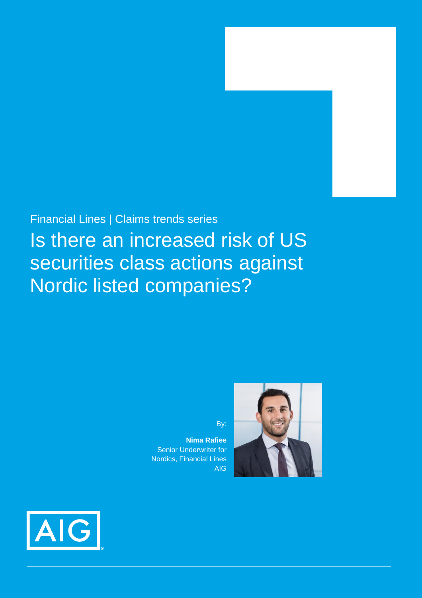## Financial Lines | Claims trends series

# Is there an increased risk of US securities class actions against Nordic listed companies?

By:

**Nima Rafiee** Senior Underwriter for Nordics, Financial Lines AIG



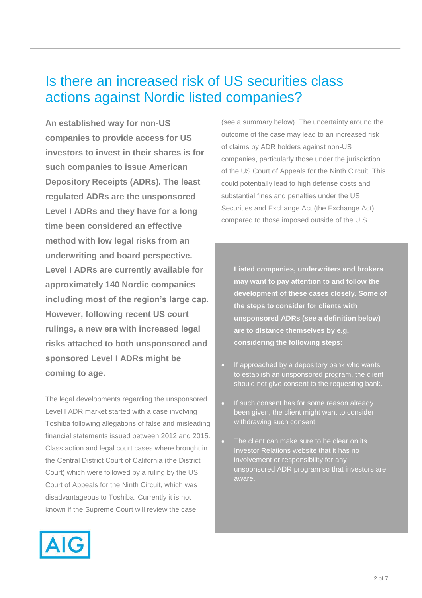# Is there an increased risk of US securities class actions against Nordic listed companies?

**An established way for non-US companies to provide access for US investors to invest in their shares is for such companies to issue American Depository Receipts (ADRs). The least regulated ADRs are the unsponsored Level I ADRs and they have for a long time been considered an effective method with low legal risks from an underwriting and board perspective. Level I ADRs are currently available for approximately 140 Nordic companies including most of the region's large cap. However, following recent US court rulings, a new era with increased legal risks attached to both unsponsored and sponsored Level I ADRs might be coming to age.**

The legal developments regarding the unsponsored Level I ADR market started with a case involving Toshiba following allegations of false and misleading financial statements issued between 2012 and 2015. Class action and legal court cases where brought in the Central District Court of California (the District Court) which were followed by a ruling by the US Court of Appeals for the Ninth Circuit, which was disadvantageous to Toshiba. Currently it is not known if the Supreme Court will review the case

(see a summary below). The uncertainty around the outcome of the case may lead to an increased risk of claims by ADR holders against non-US companies, particularly those under the jurisdiction of the US Court of Appeals for the Ninth Circuit. This could potentially lead to high defense costs and substantial fines and penalties under the US Securities and Exchange Act (the Exchange Act), compared to those imposed outside of the U S..

**Listed companies, underwriters and brokers may want to pay attention to and follow the development of these cases closely. Some of the steps to consider for clients with unsponsored ADRs (see a definition below) are to distance themselves by e.g. considering the following steps:**

- If approached by a depository bank who wants to establish an unsponsored program, the client should not give consent to the requesting bank.
- If such consent has for some reason already been given, the client might want to consider withdrawing such consent.
- The client can make sure to be clear on its Investor Relations website that it has no involvement or responsibility for any unsponsored ADR program so that investors are aware.

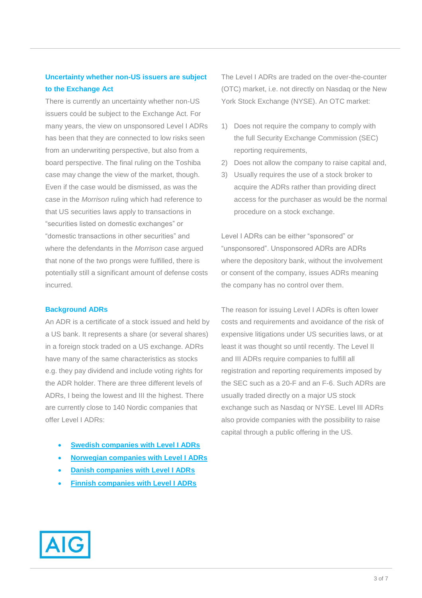### **Uncertainty whether non-US issuers are subject to the Exchange Act**

There is currently an uncertainty whether non-US issuers could be subject to the Exchange Act. For many years, the view on unsponsored Level I ADRs has been that they are connected to low risks seen from an underwriting perspective, but also from a board perspective. The final ruling on the Toshiba case may change the view of the market, though. Even if the case would be dismissed, as was the case in the *Morrison* ruling which had reference to that US securities laws apply to transactions in "securities listed on domestic exchanges" or "domestic transactions in other securities" and where the defendants in the *Morrison* case argued that none of the two prongs were fulfilled, there is potentially still a significant amount of defense costs incurred.

### **Background ADRs**

An ADR is a certificate of a stock issued and held by a US bank. It represents a share (or several shares) in a foreign stock traded on a US exchange. ADRs have many of the same characteristics as stocks e.g. they pay dividend and include voting rights for the ADR holder. There are three different levels of ADRs, I being the lowest and III the highest. There are currently close to 140 Nordic companies that offer Level I ADRs:

- **[Swedish companies with Level I ADRs](https://www.adrbnymellon.com/directory/drs-by-country-profile?country=SE)**
- **[Norwegian companies with Level I ADRs](https://www.adrbnymellon.com/directory/drs-by-country-profile?country=NO)**
- **[Danish companies with Level I ADRs](https://www.adrbnymellon.com/directory/drs-by-country-profile?country=dk)**
- **[Finnish companies with Level I ADRs](https://www.adrbnymellon.com/directory/drs-by-country-profile?country=fi)**

The Level I ADRs are traded on the over-the-counter (OTC) market, i.e. not directly on Nasdaq or the New York Stock Exchange (NYSE). An OTC market:

- 1) Does not require the company to comply with the full Security Exchange Commission (SEC) reporting requirements,
- 2) Does not allow the company to raise capital and,
- 3) Usually requires the use of a stock broker to acquire the ADRs rather than providing direct access for the purchaser as would be the normal procedure on a stock exchange.

Level I ADRs can be either "sponsored" or "unsponsored". Unsponsored ADRs are ADRs where the depository bank, without the involvement or consent of the company, issues ADRs meaning the company has no control over them.

The reason for issuing Level I ADRs is often lower costs and requirements and avoidance of the risk of expensive litigations under US securities laws, or at least it was thought so until recently. The Level II and III ADRs require companies to fulfill all registration and reporting requirements imposed by the SEC such as a 20-F and an F-6. Such ADRs are usually traded directly on a major US stock exchange such as Nasdaq or NYSE. Level III ADRs also provide companies with the possibility to raise capital through a public offering in the US.

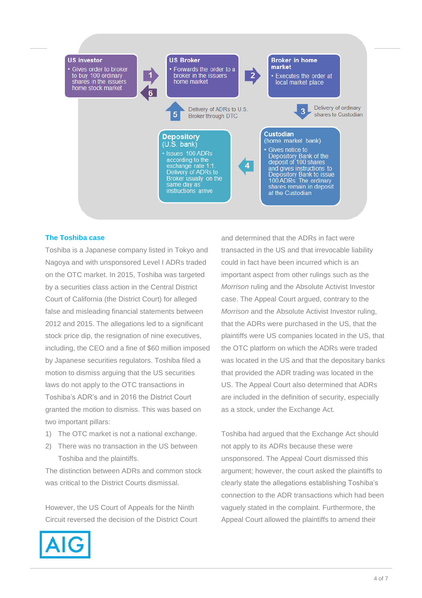

### **The Toshiba case**

Toshiba is a Japanese company listed in Tokyo and Nagoya and with unsponsored Level I ADRs traded on the OTC market. In 2015, Toshiba was targeted by a securities class action in the Central District Court of California (the District Court) for alleged false and misleading financial statements between 2012 and 2015. The allegations led to a significant stock price dip, the resignation of nine executives, including, the CEO and a fine of \$60 million imposed by Japanese securities regulators. Toshiba filed a motion to dismiss arguing that the US securities laws do not apply to the OTC transactions in Toshiba's ADR's and in 2016 the District Court granted the motion to dismiss. This was based on two important pillars:

- 1) The OTC market is not a national exchange.
- 2) There was no transaction in the US between Toshiba and the plaintiffs.

The distinction between ADRs and common stock was critical to the District Courts dismissal.

However, the US Court of Appeals for the Ninth Circuit reversed the decision of the District Court and determined that the ADRs in fact were transacted in the US and that irrevocable liability could in fact have been incurred which is an important aspect from other rulings such as the *Morrison* ruling and the Absolute Activist Investor case. The Appeal Court argued, contrary to the *Morrison* and the Absolute Activist Investor ruling, that the ADRs were purchased in the US, that the plaintiffs were US companies located in the US, that the OTC platform on which the ADRs were traded was located in the US and that the depositary banks that provided the ADR trading was located in the US. The Appeal Court also determined that ADRs are included in the definition of security, especially as a stock, under the Exchange Act.

Toshiba had argued that the Exchange Act should not apply to its ADRs because these were unsponsored. The Appeal Court dismissed this argument; however, the court asked the plaintiffs to clearly state the allegations establishing Toshiba's connection to the ADR transactions which had been vaguely stated in the complaint. Furthermore, the Appeal Court allowed the plaintiffs to amend their

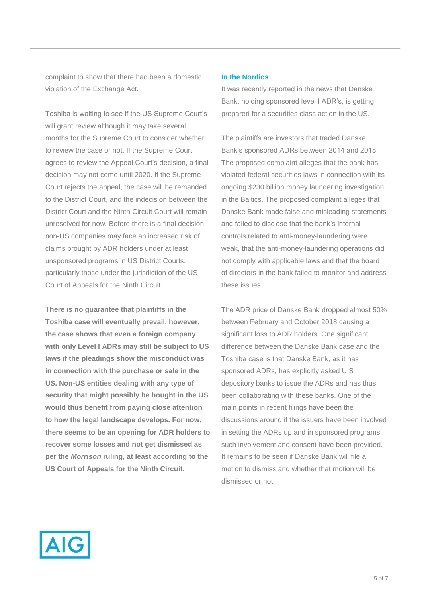complaint to show that there had been a domestic violation of the Exchange Act.

Toshiba is waiting to see if the US Supreme Court's will grant review although it may take several months for the Supreme Court to consider whether to review the case or not. If the Supreme Court agrees to review the Appeal Court's decision, a final decision may not come until 2020. If the Supreme Court rejects the appeal, the case will be remanded to the District Court, and the indecision between the District Court and the Ninth Circuit Court will remain unresolved for now. Before there is a final decision, non-US companies may face an increased risk of claims brought by ADR holders under at least unsponsored programs in US District Courts, particularly those under the jurisdiction of the US Court of Appeals for the Ninth Circuit.

T**here is no guarantee that plaintiffs in the Toshiba case will eventually prevail, however, the case shows that even a foreign company with only Level I ADRs may still be subject to US laws if the pleadings show the misconduct was in connection with the purchase or sale in the US. Non-US entities dealing with any type of security that might possibly be bought in the US would thus benefit from paying close attention to how the legal landscape develops. For now, there seems to be an opening for ADR holders to recover some losses and not get dismissed as per the** *Morrison* **ruling, at least according to the US Court of Appeals for the Ninth Circuit.** 

### **In the Nordics**

It was recently reported in the news that Danske Bank, holding sponsored level I ADR's, is getting prepared for a securities class action in the US.

The plaintiffs are investors that traded Danske Bank's sponsored ADRs between 2014 and 2018. The proposed complaint alleges that the bank has violated federal securities laws in connection with its ongoing \$230 billion money laundering investigation in the Baltics. The proposed complaint alleges that Danske Bank made false and misleading statements and failed to disclose that the bank's internal controls related to anti-money-laundering were weak, that the anti-money-laundering operations did not comply with applicable laws and that the board of directors in the bank failed to monitor and address these issues.

The ADR price of Danske Bank dropped almost 50% between February and October 2018 causing a significant loss to ADR holders. One significant difference between the Danske Bank case and the Toshiba case is that Danske Bank, as it has sponsored ADRs, has explicitly asked U S depository banks to issue the ADRs and has thus been collaborating with these banks. One of the main points in recent filings have been the discussions around if the issuers have been involved in setting the ADRs up and in sponsored programs such involvement and consent have been provided. It remains to be seen if Danske Bank will file a motion to dismiss and whether that motion will be dismissed or not.

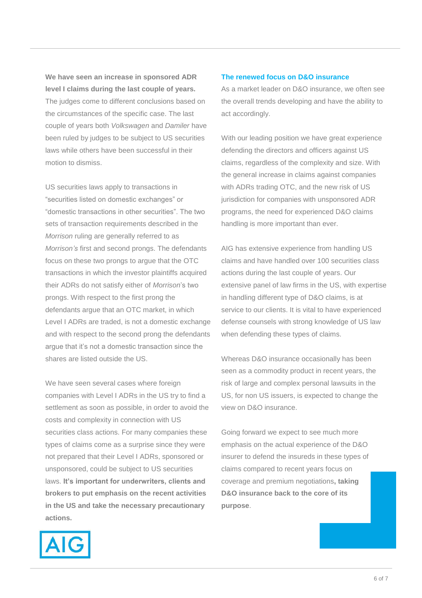**We have seen an increase in sponsored ADR level I claims during the last couple of years.**  The judges come to different conclusions based on the circumstances of the specific case. The last couple of years both *Volkswagen* and *Damiler* have been ruled by judges to be subject to US securities laws while others have been successful in their motion to dismiss.

US securities laws apply to transactions in "securities listed on domestic exchanges" or "domestic transactions in other securities". The two sets of transaction requirements described in the *Morrison* ruling are generally referred to as *Morrison's* first and second prongs. The defendants focus on these two prongs to argue that the OTC transactions in which the investor plaintiffs acquired their ADRs do not satisfy either of *Morrison*'s two prongs. With respect to the first prong the defendants argue that an OTC market, in which Level I ADRs are traded, is not a domestic exchange and with respect to the second prong the defendants argue that it's not a domestic transaction since the shares are listed outside the US.

We have seen several cases where foreign companies with Level I ADRs in the US try to find a settlement as soon as possible, in order to avoid the costs and complexity in connection with US securities class actions. For many companies these types of claims come as a surprise since they were not prepared that their Level I ADRs, sponsored or unsponsored, could be subject to US securities laws. **It's important for underwriters, clients and brokers to put emphasis on the recent activities in the US and take the necessary precautionary actions.**

### **The renewed focus on D&O insurance**

As a market leader on D&O insurance, we often see the overall trends developing and have the ability to act accordingly.

With our leading position we have great experience defending the directors and officers against US claims, regardless of the complexity and size. With the general increase in claims against companies with ADRs trading OTC, and the new risk of US jurisdiction for companies with unsponsored ADR programs, the need for experienced D&O claims handling is more important than ever.

AIG has extensive experience from handling US claims and have handled over 100 securities class actions during the last couple of years. Our extensive panel of law firms in the US, with expertise in handling different type of D&O claims, is at service to our clients. It is vital to have experienced defense counsels with strong knowledge of US law when defending these types of claims.

Whereas D&O insurance occasionally has been seen as a commodity product in recent years, the risk of large and complex personal lawsuits in the US, for non US issuers, is expected to change the view on D&O insurance.

Going forward we expect to see much more emphasis on the actual experience of the D&O insurer to defend the insureds in these types of claims compared to recent years focus on coverage and premium negotiations**, taking D&O insurance back to the core of its purpose**.